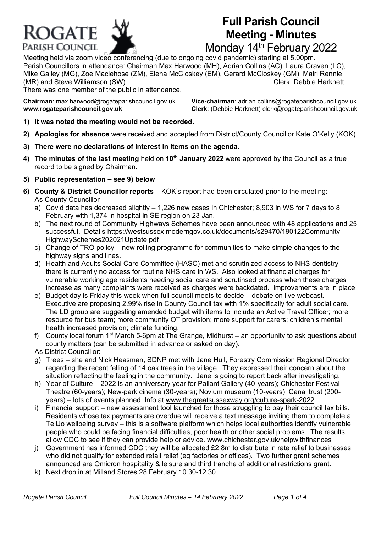

# **Full Parish Council Meeting - Minutes**

Monday 14<sup>th</sup> February 2022

Meeting held via zoom video conferencing (due to ongoing covid pandemic) starting at 5.00pm. Parish Councillors in attendance: Chairman Max Harwood (MH), Adrian Collins (AC), Laura Craven (LC), Mike Galley (MG), Zoe Maclehose (ZM), Elena McCloskey (EM), Gerard McCloskey (GM), Mairi Rennie (MR) and Steve Williamson (SW). Clerk: Debbie Harknett

There was one member of the public in attendance.

**Chairman**: max.harwoo[d@rogateparishcouncil.gov.uk](mailto:max.harwood@rogateparishcouncil.gov.uk) **Vice-chairman**: adrian.collins@rogateparishcouncil.gov.uk **www.rogateparishcouncil.gov.uk Clerk**: (Debbie Harknett) [clerk@rogateparishcouncil.gov.uk](mailto:clerk@rogateparishcouncil.gov.uk)

- **1) It was noted the meeting would not be recorded.**
- **2) Apologies for absence** were received and accepted from District/County Councillor Kate O'Kelly (KOK).
- **3) There were no declarations of interest in items on the agenda.**
- **4) The minutes of the last meeting** held on **10th January 2022** were approved by the Council as a true record to be signed by Chairman**.**
- **5) Public representation – see 9) below**
- **6) County & District Councillor reports** KOK's report had been circulated prior to the meeting: As County Councillor
	- a) Covid data has decreased slightly  $-1,226$  new cases in Chichester; 8,903 in WS for 7 days to 8 February with 1,374 in hospital in SE region on 23 Jan.
	- b) The next round of Community Highways Schemes have been announced with 48 applications and 25 successful. Details [https://westsussex.moderngov.co.uk/documents/s29470/190122Community](https://westsussex.moderngov.co.uk/documents/s29470/190122Community%20HighwaySchemes202021Update.pdf)  [HighwaySchemes202021Update.pdf](https://westsussex.moderngov.co.uk/documents/s29470/190122Community%20HighwaySchemes202021Update.pdf)
	- c) Change of TRO policy new rolling programme for communities to make simple changes to the highway signs and lines.
	- d) Health and Adults Social Care Committee (HASC) met and scrutinized access to NHS dentistry there is currently no access for routine NHS care in WS. Also looked at financial charges for vulnerable working age residents needing social care and scrutinsed process when these charges increase as many complaints were received as charges were backdated. Improvements are in place.
	- e) Budget day is Friday this week when full council meets to decide debate on live webcast. Executive are proposing 2.99% rise in County Council tax with 1% specifically for adult social care. The LD group are suggesting amended budget with items to include an Active Travel Officer; more resource for bus team; more community OT provision; more support for carers; children's mental health increased provision; climate funding.
	- f) County local forum  $1<sup>st</sup>$  March 5-6pm at The Grange, Midhurst an opportunity to ask questions about county matters (can be submitted in advance or asked on day).

As District Councillor:

- g) Trees she and Nick Heasman, SDNP met with Jane Hull, Forestry Commission Regional Director regarding the recent felling of 14 oak trees in the village. They expressed their concern about the situation reflecting the feeling in the community. Jane is going to report back after investigating.
- h) Year of Culture 2022 is an anniversary year for Pallant Gallery (40-years); Chichester Festival Theatre (60-years); New-park cinema (30-years); Novium museum (10-years); Canal trust (200 years) – lots of events planned. Info at [www.thegreatsussexway.org/culture-spark-2022](http://www.thegreatsussexway.org/culture-spark-2022)
- i) Financial support new assessment tool launched for those struggling to pay their council tax bills. Residents whose tax payments are overdue will receive a text message inviting them to complete a TellJo wellbeing survey – this is a software platform which helps local authorities identify vulnerable people who could be facing financial difficulties, poor health or other social problems. The results allow CDC to see if they can provide help or advice. [www.chichester.gov.uk/helpwithfinances](http://www.chichester.gov.uk/helpwithfinances)
- j) Government has informed CDC they will be allocated £2.8m to distribute in rate relief to businesses who did not qualify for extended retail relief (eg factories or offices). Two further grant schemes announced are Omicron hospitality & leisure and third tranche of additional restrictions grant.
- k) Next drop in at Milland Stores 28 February 10.30-12.30.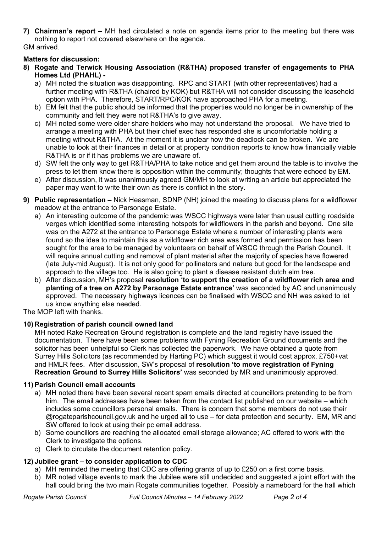**7) Chairman's report –** MH had circulated a note on agenda items prior to the meeting but there was nothing to report not covered elsewhere on the agenda.

# GM arrived.

# **Matters for discussion:**

- **8) Rogate and Terwick Housing Association (R&THA) proposed transfer of engagements to PHA Homes Ltd (PHAHL)** 
	- a) MH noted the situation was disappointing. RPC and START (with other representatives) had a further meeting with R&THA (chaired by KOK) but R&THA will not consider discussing the leasehold option with PHA. Therefore, START/RPC/KOK have approached PHA for a meeting.
	- b) EM felt that the public should be informed that the properties would no longer be in ownership of the community and felt they were not R&THA's to give away.
	- c) MH noted some were older share holders who may not understand the proposal. We have tried to arrange a meeting with PHA but their chief exec has responded she is uncomfortable holding a meeting without R&THA. At the moment it is unclear how the deadlock can be broken. We are unable to look at their finances in detail or at property condition reports to know how financially viable R&THA is or if it has problems we are unaware of.
	- d) SW felt the only way to get R&THA/PHA to take notice and get them around the table is to involve the press to let them know there is opposition within the community; thoughts that were echoed by EM.
	- e) After discussion, it was unanimously agreed GM/MH to look at writing an article but appreciated the paper may want to write their own as there is conflict in the story.
- **9) Public representation –** Nick Heasman, SDNP (NH) joined the meeting to discuss plans for a wildflower meadow at the entrance to Parsonage Estate.
	- a) An interesting outcome of the pandemic was WSCC highways were later than usual cutting roadside verges which identified some interesting hotspots for wildflowers in the parish and beyond. One site was on the A272 at the entrance to Parsonage Estate where a number of interesting plants were found so the idea to maintain this as a wildflower rich area was formed and permission has been sought for the area to be managed by volunteers on behalf of WSCC through the Parish Council. It will require annual cutting and removal of plant material after the majority of species have flowered (late July-mid August). It is not only good for pollinators and nature but good for the landscape and approach to the village too. He is also going to plant a disease resistant dutch elm tree.
	- b) After discussion, MH's proposal **resolution 'to support the creation of a wildflower rich area and planting of a tree on A272 by Parsonage Estate entrance'** was seconded by AC and unanimously approved. The necessary highways licences can be finalised with WSCC and NH was asked to let us know anything else needed.

The MOP left with thanks.

# **10) Registration of parish council owned land**

MH noted Rake Recreation Ground registration is complete and the land registry have issued the documentation. There have been some problems with Fyning Recreation Ground documents and the solicitor has been unhelpful so Clerk has collected the paperwork. We have obtained a quote from Surrey Hills Solicitors (as recommended by Harting PC) which suggest it would cost approx. £750+vat and HMLR fees. After discussion, SW's proposal of **resolution 'to move registration of Fyning Recreation Ground to Surrey Hills Solicitors'** was seconded by MR and unanimously approved.

# **11) Parish Council email accounts**

- a) MH noted there have been several recent spam emails directed at councillors pretending to be from him. The email addresses have been taken from the contact list published on our website – which includes some councillors personal emails. There is concern that some members do not use their @rogateparishcouncil.gov.uk and he urged all to use – for data protection and security. EM, MR and SW offered to look at using their pc email address.
- b) Some councillors are reaching the allocated email storage allowance; AC offered to work with the Clerk to investigate the options.
- c) Clerk to circulate the document retention policy.

# **12) Jubilee grant – to consider application to CDC**

- a) MH reminded the meeting that CDC are offering grants of up to £250 on a first come basis.
- b) MR noted village events to mark the Jubilee were still undecided and suggested a joint effort with the hall could bring the two main Rogate communities together. Possibly a nameboard for the hall which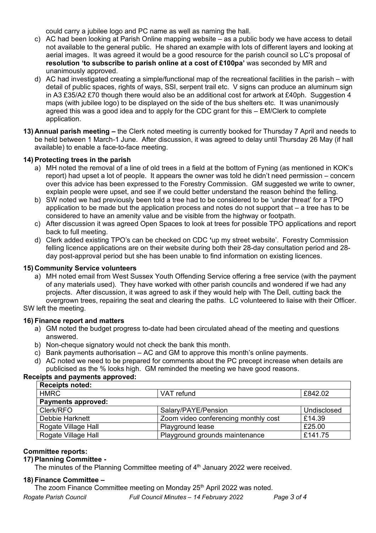could carry a jubilee logo and PC name as well as naming the hall.

- c) AC had been looking at Parish Online mapping website as a public body we have access to detail not available to the general public. He shared an example with lots of different layers and looking at aerial images. It was agreed it would be a good resource for the parish council so LC's proposal of **resolution 'to subscribe to parish online at a cost of £100pa'** was seconded by MR and unanimously approved.
- d) AC had investigated creating a simple/functional map of the recreational facilities in the parish with detail of public spaces, rights of ways, SSI, serpent trail etc. V signs can produce an aluminum sign in A3 £35/A2 £70 though there would also be an additional cost for artwork at £40ph. Suggestion 4 maps (with jubilee logo) to be displayed on the side of the bus shelters etc. It was unanimously agreed this was a good idea and to apply for the CDC grant for this – EM/Clerk to complete application.
- **13) Annual parish meeting –** the Clerk noted meeting is currently booked for Thursday 7 April and needs to be held between 1 March-1 June. After discussion, it was agreed to delay until Thursday 26 May (if hall available) to enable a face-to-face meeting.

## **14) Protecting trees in the parish**

- a) MH noted the removal of a line of old trees in a field at the bottom of Fyning (as mentioned in KOK's report) had upset a lot of people. It appears the owner was told he didn't need permission – concern over this advice has been expressed to the Forestry Commission. GM suggested we write to owner, explain people were upset, and see if we could better understand the reason behind the felling.
- b) SW noted we had previously been told a tree had to be considered to be 'under threat' for a TPO application to be made but the application process and notes do not support that – a tree has to be considered to have an amenity value and be visible from the highway or footpath.
- c) After discussion it was agreed Open Spaces to look at trees for possible TPO applications and report back to full meeting.
- d) Clerk added existing TPO's can be checked on CDC **'**up my street website'. Forestry Commission felling licence applications are on their website during both their 28-day consultation period and 28 day post-approval period but she has been unable to find information on existing licences.

## **15) Community Service volunteers**

a) MH noted email from West Sussex Youth Offending Service offering a free service (with the payment of any materials used). They have worked with other parish councils and wondered if we had any projects. After discussion, it was agreed to ask if they would help with The Dell, cutting back the overgrown trees, repairing the seat and clearing the paths. LC volunteered to liaise with their Officer.

## SW left the meeting.

#### **16) Finance report and matters**

- a) GM noted the budget progress to-date had been circulated ahead of the meeting and questions answered.
- b) Non-cheque signatory would not check the bank this month.
- c) Bank payments authorisation AC and GM to approve this month's online payments.
- d) AC noted we need to be prepared for comments about the PC precept increase when details are publicised as the % looks high. GM reminded the meeting we have good reasons.

#### **Receipts and payments approved:**

| <b>Receipts noted:</b>    |                                      |             |
|---------------------------|--------------------------------------|-------------|
| <b>HMRC</b>               | VAT refund                           | £842.02     |
| <b>Payments approved:</b> |                                      |             |
| Clerk/RFO                 | Salary/PAYE/Pension                  | Undisclosed |
| Debbie Harknett           | Zoom video conferencing monthly cost | £14.39      |
| Rogate Village Hall       | Playground lease                     | £25.00      |
| Rogate Village Hall       | Playground grounds maintenance       | £141.75     |

#### **Committee reports:**

## **17) Planning Committee -**

The minutes of the Planning Committee meeting of 4<sup>th</sup> January 2022 were received.

#### **18) Finance Committee –**

The zoom Finance Committee meeting on Monday 25<sup>th</sup> April 2022 was noted.